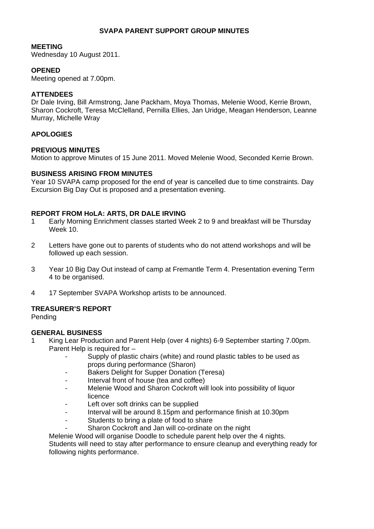## **SVAPA PARENT SUPPORT GROUP MINUTES**

#### **MEETING**

Wednesday 10 August 2011.

### **OPENED**

Meeting opened at 7.00pm.

#### **ATTENDEES**

Dr Dale Irving, Bill Armstrong, Jane Packham, Moya Thomas, Melenie Wood, Kerrie Brown, Sharon Cockroft, Teresa McClelland, Pernilla Ellies, Jan Uridge, Meagan Henderson, Leanne Murray, Michelle Wray

### **APOLOGIES**

#### **PREVIOUS MINUTES**

Motion to approve Minutes of 15 June 2011. Moved Melenie Wood, Seconded Kerrie Brown.

#### **BUSINESS ARISING FROM MINUTES**

Year 10 SVAPA camp proposed for the end of year is cancelled due to time constraints. Day Excursion Big Day Out is proposed and a presentation evening.

#### **REPORT FROM HoLA: ARTS, DR DALE IRVING**

- 1 Early Morning Enrichment classes started Week 2 to 9 and breakfast will be Thursday Week 10.
- 2 Letters have gone out to parents of students who do not attend workshops and will be followed up each session.
- 3 Year 10 Big Day Out instead of camp at Fremantle Term 4. Presentation evening Term 4 to be organised.
- 4 17 September SVAPA Workshop artists to be announced.

## **TREASURER'S REPORT**

Pending

#### **GENERAL BUSINESS**

- 1 King Lear Production and Parent Help (over 4 nights) 6-9 September starting 7.00pm. Parent Help is required for –
	- Supply of plastic chairs (white) and round plastic tables to be used as props during performance (Sharon)
	- Bakers Delight for Supper Donation (Teresa)
	- Interval front of house (tea and coffee)
	- Melenie Wood and Sharon Cockroft will look into possibility of liquor licence
	- Left over soft drinks can be supplied
	- Interval will be around 8.15pm and performance finish at 10.30pm
	- Students to bring a plate of food to share
	- Sharon Cockroft and Jan will co-ordinate on the night

 Melenie Wood will organise Doodle to schedule parent help over the 4 nights. Students will need to stay after performance to ensure cleanup and everything ready for following nights performance.